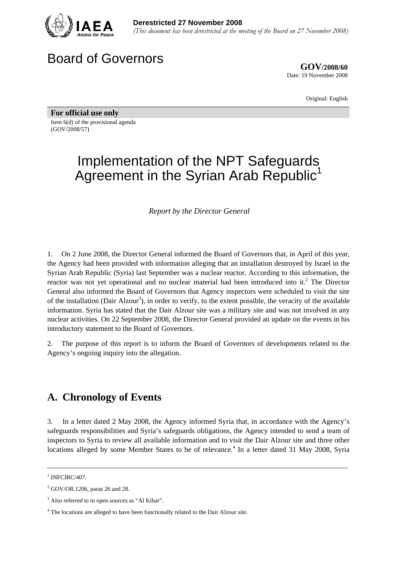

## Board of Governors

**GOV/2008/60** Date: 19 November 2008

Original: English

**For official use only**  Item 6(d) of the provisional agenda (GOV/2008/57)

# Implementation of the NPT Safeguards Agreement in the Syrian Arab Republic<sup>1</sup>

*Report by the Director General* 

1. On 2 June 2008, the Director General informed the Board of Governors that, in April of this year, the Agency had been provided with information alleging that an installation destroyed by Israel in the Syrian Arab Republic (Syria) last September was a nuclear reactor. According to this information, the reactor was not yet operational and no nuclear material had been introduced into it.<sup>2</sup> The Director General also informed the Board of Governors that Agency inspectors were scheduled to visit the site of the installation (Dair Alzour<sup>3</sup>), in order to verify, to the extent possible, the veracity of the available information. Syria has stated that the Dair Alzour site was a military site and was not involved in any nuclear activities. On 22 September 2008, the Director General provided an update on the events in his introductory statement to the Board of Governors.

2. The purpose of this report is to inform the Board of Governors of developments related to the Agency's ongoing inquiry into the allegation.

#### **A. Chronology of Events**

3. In a letter dated 2 May 2008, the Agency informed Syria that, in accordance with the Agency's safeguards responsibilities and Syria's safeguards obligations, the Agency intended to send a team of inspectors to Syria to review all available information and to visit the Dair Alzour site and three other locations alleged by some Member States to be of relevance.<sup>4</sup> In a letter dated 31 May 2008, Syria

\_\_\_\_\_\_\_\_\_\_\_\_\_\_\_\_\_\_\_\_\_\_\_\_\_\_\_\_\_\_\_\_\_\_\_\_\_\_\_\_\_\_\_\_\_\_\_\_\_\_\_\_\_\_\_\_\_\_\_\_\_\_\_\_\_\_\_\_\_\_\_\_\_\_\_\_\_\_\_\_\_\_

 $1$  INFCIRC/407.

 $2^2$  GOV/OR.1206, paras 26 and 28.

<sup>&</sup>lt;sup>3</sup> Also referred to in open sources as "Al Kibar".

<sup>&</sup>lt;sup>4</sup> The locations are alleged to have been functionally related to the Dair Alzour site.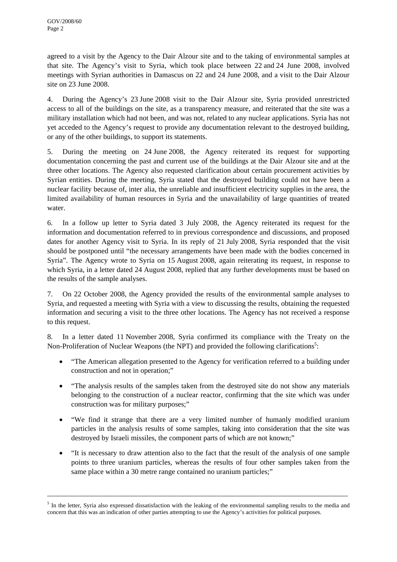agreed to a visit by the Agency to the Dair Alzour site and to the taking of environmental samples at that site. The Agency's visit to Syria, which took place between 22 and 24 June 2008, involved meetings with Syrian authorities in Damascus on 22 and 24 June 2008, and a visit to the Dair Alzour site on 23 June 2008.

4. During the Agency's 23 June 2008 visit to the Dair Alzour site, Syria provided unrestricted access to all of the buildings on the site, as a transparency measure, and reiterated that the site was a military installation which had not been, and was not, related to any nuclear applications. Syria has not yet acceded to the Agency's request to provide any documentation relevant to the destroyed building, or any of the other buildings, to support its statements.

5. During the meeting on 24 June 2008, the Agency reiterated its request for supporting documentation concerning the past and current use of the buildings at the Dair Alzour site and at the three other locations. The Agency also requested clarification about certain procurement activities by Syrian entities. During the meeting, Syria stated that the destroyed building could not have been a nuclear facility because of, inter alia, the unreliable and insufficient electricity supplies in the area, the limited availability of human resources in Syria and the unavailability of large quantities of treated water.

6. In a follow up letter to Syria dated 3 July 2008, the Agency reiterated its request for the information and documentation referred to in previous correspondence and discussions, and proposed dates for another Agency visit to Syria. In its reply of 21 July 2008, Syria responded that the visit should be postponed until "the necessary arrangements have been made with the bodies concerned in Syria". The Agency wrote to Syria on 15 August 2008, again reiterating its request, in response to which Syria, in a letter dated 24 August 2008, replied that any further developments must be based on the results of the sample analyses.

7. On 22 October 2008, the Agency provided the results of the environmental sample analyses to Syria, and requested a meeting with Syria with a view to discussing the results, obtaining the requested information and securing a visit to the three other locations. The Agency has not received a response to this request.

8. In a letter dated 11 November 2008, Syria confirmed its compliance with the Treaty on the Non-Proliferation of Nuclear Weapons (the NPT) and provided the following clarifications<sup>5</sup>:

- "The American allegation presented to the Agency for verification referred to a building under construction and not in operation;"
- "The analysis results of the samples taken from the destroyed site do not show any materials belonging to the construction of a nuclear reactor, confirming that the site which was under construction was for military purposes;"
- "We find it strange that there are a very limited number of humanly modified uranium particles in the analysis results of some samples, taking into consideration that the site was destroyed by Israeli missiles, the component parts of which are not known;"
- "It is necessary to draw attention also to the fact that the result of the analysis of one sample points to three uranium particles, whereas the results of four other samples taken from the same place within a 30 metre range contained no uranium particles;"

\_\_\_\_\_\_\_\_\_\_\_\_\_\_\_\_\_\_\_\_\_\_\_\_\_\_\_\_\_\_\_\_\_\_\_\_\_\_\_\_\_\_\_\_\_\_\_\_\_\_\_\_\_\_\_\_\_\_\_\_\_\_\_\_\_\_\_\_\_\_\_\_\_\_\_\_\_\_\_\_\_\_

<sup>&</sup>lt;sup>5</sup> In the letter, Syria also expressed dissatisfaction with the leaking of the environmental sampling results to the media and concern that this was an indication of other parties attempting to use the Agency's activities for political purposes.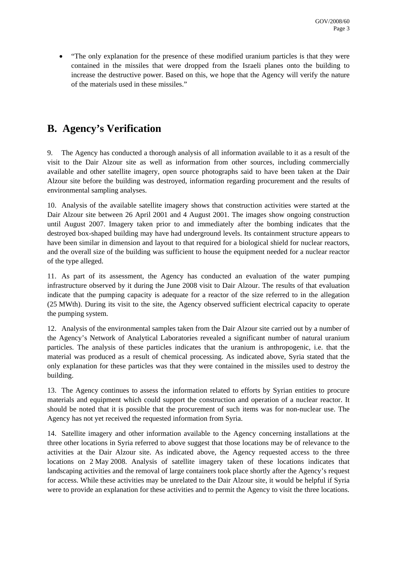• "The only explanation for the presence of these modified uranium particles is that they were contained in the missiles that were dropped from the Israeli planes onto the building to increase the destructive power. Based on this, we hope that the Agency will verify the nature of the materials used in these missiles."

### **B. Agency's Verification**

9. The Agency has conducted a thorough analysis of all information available to it as a result of the visit to the Dair Alzour site as well as information from other sources, including commercially available and other satellite imagery, open source photographs said to have been taken at the Dair Alzour site before the building was destroyed, information regarding procurement and the results of environmental sampling analyses.

10. Analysis of the available satellite imagery shows that construction activities were started at the Dair Alzour site between 26 April 2001 and 4 August 2001. The images show ongoing construction until August 2007. Imagery taken prior to and immediately after the bombing indicates that the destroyed box-shaped building may have had underground levels. Its containment structure appears to have been similar in dimension and layout to that required for a biological shield for nuclear reactors, and the overall size of the building was sufficient to house the equipment needed for a nuclear reactor of the type alleged.

11. As part of its assessment, the Agency has conducted an evaluation of the water pumping infrastructure observed by it during the June 2008 visit to Dair Alzour. The results of that evaluation indicate that the pumping capacity is adequate for a reactor of the size referred to in the allegation (25 MWth). During its visit to the site, the Agency observed sufficient electrical capacity to operate the pumping system.

12. Analysis of the environmental samples taken from the Dair Alzour site carried out by a number of the Agency's Network of Analytical Laboratories revealed a significant number of natural uranium particles. The analysis of these particles indicates that the uranium is anthropogenic, i.e. that the material was produced as a result of chemical processing. As indicated above, Syria stated that the only explanation for these particles was that they were contained in the missiles used to destroy the building.

13. The Agency continues to assess the information related to efforts by Syrian entities to procure materials and equipment which could support the construction and operation of a nuclear reactor. It should be noted that it is possible that the procurement of such items was for non-nuclear use. The Agency has not yet received the requested information from Syria.

14. Satellite imagery and other information available to the Agency concerning installations at the three other locations in Syria referred to above suggest that those locations may be of relevance to the activities at the Dair Alzour site. As indicated above, the Agency requested access to the three locations on 2 May 2008. Analysis of satellite imagery taken of these locations indicates that landscaping activities and the removal of large containers took place shortly after the Agency's request for access. While these activities may be unrelated to the Dair Alzour site, it would be helpful if Syria were to provide an explanation for these activities and to permit the Agency to visit the three locations.